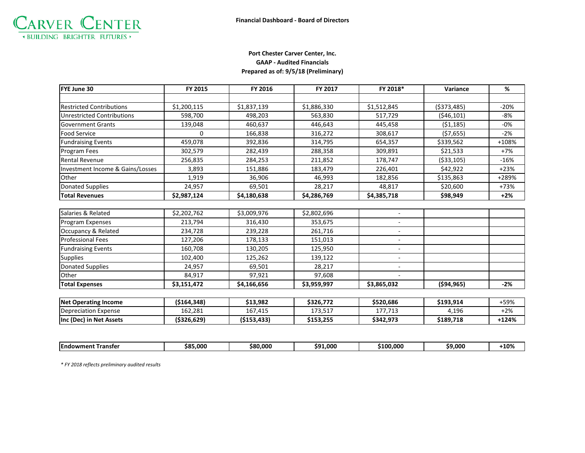

## **Port Chester Carver Center, Inc. GAAP - Audited Financials Prepared as of: 9/5/18 (Preliminary)**

| FYE June 30                       | FY 2015     | FY 2016       | FY 2017     | FY 2018*    | Variance     | %       |
|-----------------------------------|-------------|---------------|-------------|-------------|--------------|---------|
|                                   |             |               |             |             |              |         |
| <b>Restricted Contributions</b>   | \$1,200,115 | \$1,837,139   | \$1,886,330 | \$1,512,845 | ( \$373,485) | $-20%$  |
| <b>Unrestricted Contributions</b> | 598,700     | 498,203       | 563,830     | 517,729     | (546, 101)   | $-8%$   |
| <b>Government Grants</b>          | 139,048     | 460,637       | 446,643     | 445,458     | (51, 185)    | $-0\%$  |
| <b>Food Service</b>               | $\Omega$    | 166,838       | 316,272     | 308,617     | (57, 655)    | $-2%$   |
| <b>Fundraising Events</b>         | 459,078     | 392,836       | 314,795     | 654,357     | \$339,562    | $+108%$ |
| Program Fees                      | 302,579     | 282,439       | 288,358     | 309,891     | \$21,533     | $+7%$   |
| <b>Rental Revenue</b>             | 256,835     | 284,253       | 211,852     | 178,747     | ( \$33,105)  | $-16%$  |
| Investment Income & Gains/Losses  | 3,893       | 151,886       | 183,479     | 226,401     | \$42,922     | $+23%$  |
| Other                             | 1,919       | 36,906        | 46,993      | 182,856     | \$135,863    | +289%   |
| <b>Donated Supplies</b>           | 24,957      | 69,501        | 28,217      | 48,817      | \$20,600     | $+73%$  |
| <b>Total Revenues</b>             | \$2,987,124 | \$4,180,638   | \$4,286,769 | \$4,385,718 | \$98,949     | $+2%$   |
|                                   |             |               |             |             |              |         |
| Salaries & Related                | \$2,202,762 | \$3,009,976   | \$2,802,696 |             |              |         |
| Program Expenses                  | 213,794     | 316,430       | 353,675     |             |              |         |
| Occupancy & Related               | 234,728     | 239,228       | 261,716     |             |              |         |
| <b>Professional Fees</b>          | 127,206     | 178,133       | 151,013     |             |              |         |
| <b>Fundraising Events</b>         | 160,708     | 130,205       | 125,950     |             |              |         |
| <b>Supplies</b>                   | 102,400     | 125,262       | 139,122     |             |              |         |
| <b>Donated Supplies</b>           | 24,957      | 69,501        | 28,217      |             |              |         |
| Other                             | 84,917      | 97,921        | 97,608      |             |              |         |
| <b>Total Expenses</b>             | \$3,151,472 | \$4,166,656   | \$3,959,997 | \$3,865,032 | (594, 965)   | $-2%$   |
|                                   |             |               |             |             |              |         |
| <b>Net Operating Income</b>       | (5164, 348) | \$13,982      | \$326,772   | \$520,686   | \$193,914    | +59%    |
| <b>Depreciation Expense</b>       | 162,281     | 167,415       | 173,517     | 177,713     | 4,196        | $+2%$   |
| Inc (Dec) in Net Assets           | (\$326,629) | ( \$153, 433) | \$153,255   | \$342,973   | \$189,718    | $+124%$ |

|  | <b>IEndowment</b><br>Transter | 5.000،<br>÷о.<br>אכ | 80.000.00 | 91.000<br>ca. | 100.000 | \$9.000 | ⊦10% |
|--|-------------------------------|---------------------|-----------|---------------|---------|---------|------|
|--|-------------------------------|---------------------|-----------|---------------|---------|---------|------|

*\* FY 2018 reflects preliminary audited results*